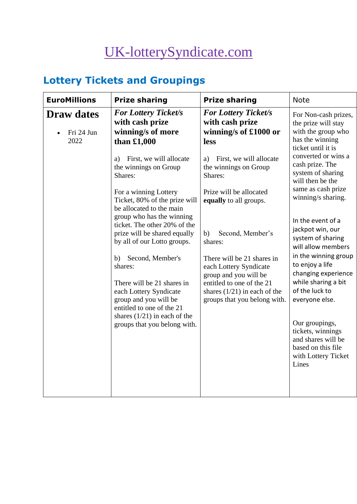# [UK-lotterySyndicate.com](http://www.uk-lotterysyndicate.com/)

# **Lottery Tickets and Groupings**

| <b>EuroMillions</b><br><b>Prize sharing</b>                                                                                   | <b>Prize sharing</b>                                                                                       | <b>Note</b>                                                                                                                                                                                                                                                                                                                   |  |
|-------------------------------------------------------------------------------------------------------------------------------|------------------------------------------------------------------------------------------------------------|-------------------------------------------------------------------------------------------------------------------------------------------------------------------------------------------------------------------------------------------------------------------------------------------------------------------------------|--|
| <b>For Lottery Ticket/s</b><br><b>Draw dates</b><br>with cash prize<br>winning/s of more<br>Fri 24 Jun<br>2022<br>than £1,000 | <b>For Lottery Ticket/s</b><br>with cash prize<br>winning/s of £1000 or<br>less                            | For Non-cash prizes,<br>the prize will stay<br>with the group who<br>has the winning<br>ticket until it is<br>converted or wins a<br>cash prize. The<br>system of sharing<br>will then be the<br>same as cash prize<br>winning/s sharing.<br>In the event of a<br>jackpot win, our<br>system of sharing<br>will allow members |  |
| First, we will allocate<br>a)<br>the winnings on Group<br>Shares:                                                             | First, we will allocate<br>a)<br>the winnings on Group<br>Shares:                                          |                                                                                                                                                                                                                                                                                                                               |  |
| For a winning Lottery<br>Ticket, 80% of the prize will<br>be allocated to the main<br>group who has the winning               | Prize will be allocated<br>equally to all groups.                                                          |                                                                                                                                                                                                                                                                                                                               |  |
| ticket. The other 20% of the<br>prize will be shared equally<br>by all of our Lotto groups.                                   | Second, Member's<br>b)<br>shares:                                                                          |                                                                                                                                                                                                                                                                                                                               |  |
| b) Second, Member's<br>shares:<br>There will be 21 shares in                                                                  | There will be 21 shares in<br>each Lottery Syndicate<br>group and you will be<br>entitled to one of the 21 | in the winning group<br>to enjoy a life<br>changing experience<br>while sharing a bit                                                                                                                                                                                                                                         |  |
| each Lottery Syndicate<br>group and you will be<br>entitled to one of the 21                                                  | shares $(1/21)$ in each of the<br>groups that you belong with.                                             | of the luck to<br>everyone else.                                                                                                                                                                                                                                                                                              |  |
| shares $(1/21)$ in each of the<br>groups that you belong with.                                                                |                                                                                                            | Our groupings,<br>tickets, winnings<br>and shares will be<br>based on this file<br>with Lottery Ticket<br>Lines                                                                                                                                                                                                               |  |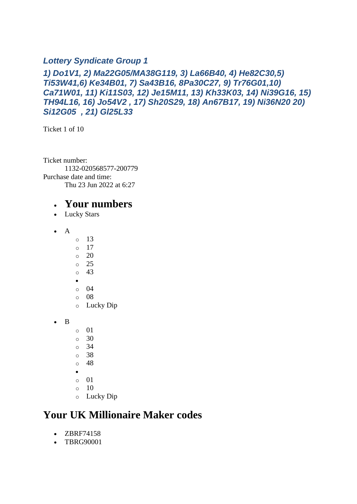#### *Lottery Syndicate Group 1*

#### *1) Do1V1, 2) Ma22G05/MA38G119, 3) La66B40, 4) He82C30,5) Ti53W41,6) Ke34B01, 7) Sa43B16, 8Pa30C27, 9) Tr76G01,10) Ca71W01, 11) Ki11S03, 12) Je15M11, 13) Kh33K03, 14) Ni39G16, 15) TH94L16, 16) Jo54V2 , 17) Sh20S29, 18) An67B17, 19) Ni36N20 20) Si12G05 , 21) Gl25L33*

Ticket 1 of 10

Ticket number: 1132-020568577-200779 Purchase date and time: Thu 23 Jun 2022 at 6:27

#### • **Your numbers**

- Lucky Stars
- A
- $\circ$  13
- $\circ$  17
- o 20
- o 25
- o 43 •
- o 04
- o 08
- o Lucky Dip
- B
- o 01
- o 30
- o 34
- o 38
- o 48
- •
- $\circ$  01
- o 10
- o Lucky Dip

### **Your UK Millionaire Maker codes**

- ZBRF74158
- TBRG90001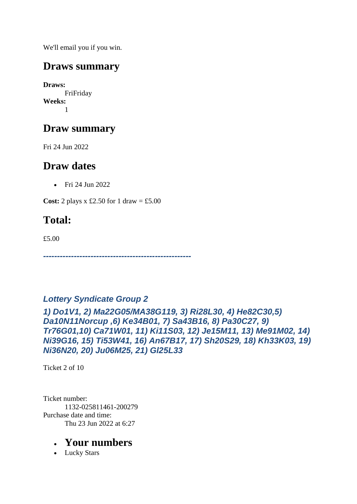We'll email you if you win.

## **Draws summary**

**Draws:** FriFriday **Weeks:** 1

# **Draw summary**

Fri 24 Jun 2022

## **Draw dates**

• Fri 24 Jun 2022

**Cost:** 2 plays x £2.50 for 1 draw = £5.00

# **Total:**

£5.00

*-----------------------------------------------------*

#### *Lottery Syndicate Group 2*

*1) Do1V1, 2) Ma22G05/MA38G119, 3) Ri28L30, 4) He82C30,5) Da10N11Norcup ,6) Ke34B01, 7) Sa43B16, 8) Pa30C27, 9) Tr76G01,10) Ca71W01, 11) Ki11S03, 12) Je15M11, 13) Me91M02, 14) Ni39G16, 15) Ti53W41, 16) An67B17, 17) Sh20S29, 18) Kh33K03, 19) Ni36N20, 20) Ju06M25, 21) Gl25L33*

Ticket 2 of 10

Ticket number: 1132-025811461-200279 Purchase date and time: Thu 23 Jun 2022 at 6:27

### • **Your numbers**

• Lucky Stars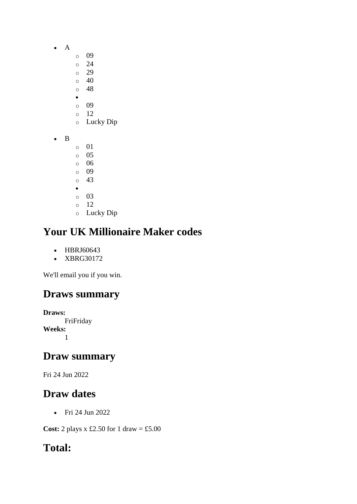- A
- o 09
- o 24
- o 29
- o 40 o 48
- •
- o 09
- o 12
- o Lucky Dip
- B
- o 01
- o 05 o 06
- o 09
- o 43
- •
- o 03
- o 12
- o Lucky Dip

# **Your UK Millionaire Maker codes**

- HBRJ60643
- XBRG30172

We'll email you if you win.

# **Draws summary**

**Draws:** FriFriday **Weeks:** 1

# **Draw summary**

Fri 24 Jun 2022

# **Draw dates**

• Fri 24 Jun 2022

**Cost:** 2 plays x £2.50 for 1 draw = £5.00

# **Total:**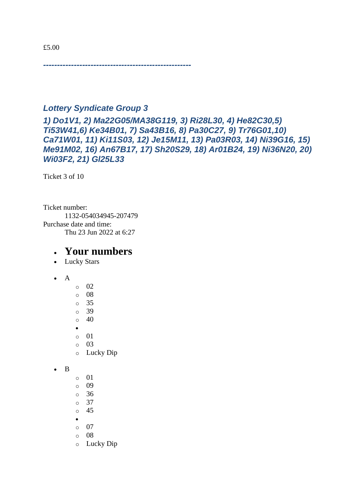*-----------------------------------------------------*

#### *Lottery Syndicate Group 3*

*1) Do1V1, 2) Ma22G05/MA38G119, 3) Ri28L30, 4) He82C30,5) Ti53W41,6) Ke34B01, 7) Sa43B16, 8) Pa30C27, 9) Tr76G01,10) Ca71W01, 11) Ki11S03, 12) Je15M11, 13) Pa03R03, 14) Ni39G16, 15) Me91M02, 16) An67B17, 17) Sh20S29, 18) Ar01B24, 19) Ni36N20, 20) Wi03F2, 21) Gl25L33*

Ticket 3 of 10

Ticket number: 1132-054034945-207479 Purchase date and time: Thu 23 Jun 2022 at 6:27

- Lucky Stars
- A
- $\circ$  02 o 08 o 35 o 39  $\circ$  40 • o 01  $\circ$  03 o Lucky Dip
- B
	- o 01 o 09
	- o 36
	- o 37
	- o 45
	- •
	- o 07
	- o 08
	- o Lucky Dip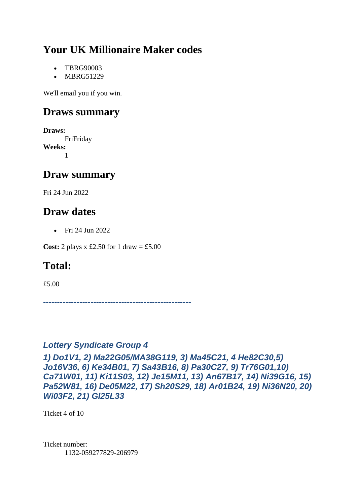# **Your UK Millionaire Maker codes**

- TBRG90003
- MBRG51229

We'll email you if you win.

### **Draws summary**

**Draws:** FriFriday **Weeks:** 1

## **Draw summary**

Fri 24 Jun 2022

### **Draw dates**

• Fri 24 Jun 2022

**Cost:** 2 plays x £2.50 for 1 draw = £5.00

# **Total:**

£5.00

*-----------------------------------------------------*

#### *Lottery Syndicate Group 4*

*1) Do1V1, 2) Ma22G05/MA38G119, 3) Ma45C21, 4 He82C30,5) Jo16V36, 6) Ke34B01, 7) Sa43B16, 8) Pa30C27, 9) Tr76G01,10) Ca71W01, 11) Ki11S03, 12) Je15M11, 13) An67B17, 14) Ni39G16, 15) Pa52W81, 16) De05M22, 17) Sh20S29, 18) Ar01B24, 19) Ni36N20, 20) Wi03F2, 21) Gl25L33*

Ticket 4 of 10

Ticket number: 1132-059277829-206979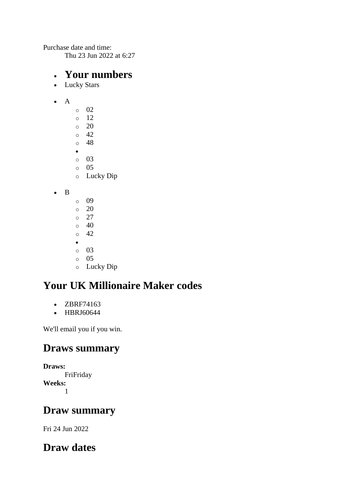Purchase date and time:

Thu 23 Jun 2022 at 6:27

#### • **Your numbers**

• Lucky Stars

#### • A

- o 02 o 12  $\circ$  20  $\circ$  42 o 48 • o 03 o 05 o Lucky Dip
- B
- o 09
- o 20
- o 27
- o 40 o 42
- •
- o 03
- $\circ$  05
- o Lucky Dip

# **Your UK Millionaire Maker codes**

- ZBRF74163
- HBRJ60644

We'll email you if you win.

### **Draws summary**

**Draws:** FriFriday **Weeks:** 1

## **Draw summary**

Fri 24 Jun 2022

# **Draw dates**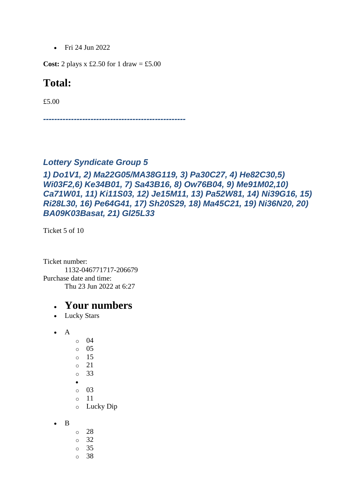• Fri 24 Jun 2022

**Cost:** 2 plays x £2.50 for 1 draw = £5.00

#### **Total:**

£5.00

*---------------------------------------------------*

#### *Lottery Syndicate Group 5*

#### *1) Do1V1, 2) Ma22G05/MA38G119, 3) Pa30C27, 4) He82C30,5) Wi03F2,6) Ke34B01, 7) Sa43B16, 8) Ow76B04, 9) Me91M02,10) Ca71W01, 11) Ki11S03, 12) Je15M11, 13) Pa52W81, 14) Ni39G16, 15) Ri28L30, 16) Pe64G41, 17) Sh20S29, 18) Ma45C21, 19) Ni36N20, 20) BA09K03Basat, 21) Gl25L33*

Ticket 5 of 10

Ticket number: 1132-046771717-206679 Purchase date and time: Thu 23 Jun 2022 at 6:27

- Lucky Stars
- A
- o 04 o 05 o 15
- o 21
- o 33
- •
- o 03
- o 11
- o Lucky Dip
- B
- o 28 o 32 o 35
- o 38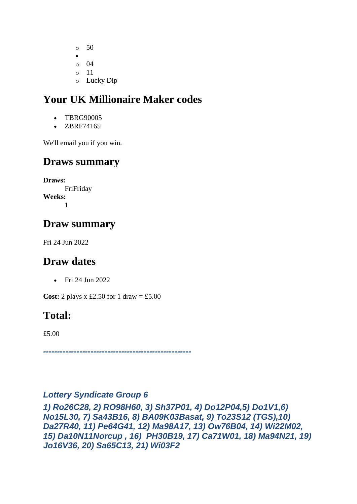o 50 • o 04  $\circ$  11 o Lucky Dip

# **Your UK Millionaire Maker codes**

- TBRG90005
- ZBRF74165

We'll email you if you win.

### **Draws summary**

**Draws:** FriFriday **Weeks:** 1

## **Draw summary**

Fri 24 Jun 2022

### **Draw dates**

• Fri 24 Jun 2022

**Cost:** 2 plays  $x \text{ £}2.50$  for 1 draw = £5.00

### **Total:**

£5.00

*-----------------------------------------------------*

#### *Lottery Syndicate Group 6*

*1) Ro26C28, 2) RO98H60, 3) Sh37P01, 4) Do12P04,5) Do1V1,6) No15L30, 7) Sa43B16, 8) BA09K03Basat, 9) To23S12 (TGS),10) Da27R40, 11) Pe64G41, 12) Ma98A17, 13) Ow76B04, 14) Wi22M02, 15) Da10N11Norcup , 16) PH30B19, 17) Ca71W01, 18) Ma94N21, 19) Jo16V36, 20) Sa65C13, 21) Wi03F2*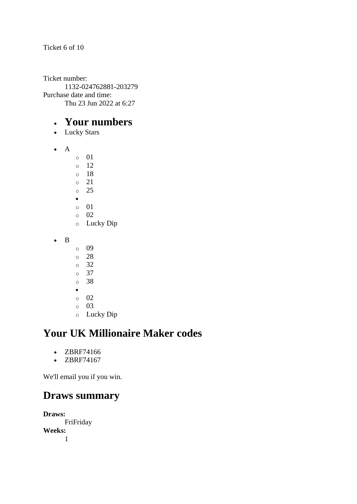Ticket 6 of 10

Ticket number: 1132-024762881-203279 Purchase date and time: Thu 23 Jun 2022 at 6:27

### • **Your numbers**

- Lucky Stars
- A
- o 01
- o 12
- o 18
- o 21 o 25
- •
- o 01
- o 02
- o Lucky Dip
- B
- o 09
- o 28
- o 32
- o 37
- o 38
- o 02
- o 03
- o Lucky Dip

# **Your UK Millionaire Maker codes**

- ZBRF74166
- ZBRF74167

We'll email you if you win.

### **Draws summary**

**Draws:** FriFriday **Weeks:** 1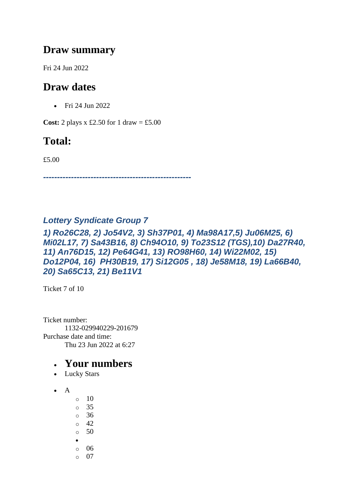### **Draw summary**

Fri 24 Jun 2022

# **Draw dates**

• Fri 24 Jun 2022

**Cost:** 2 plays x £2.50 for 1 draw = £5.00

# **Total:**

£5.00

*-----------------------------------------------------*

#### *Lottery Syndicate Group 7*

*1) Ro26C28, 2) Jo54V2, 3) Sh37P01, 4) Ma98A17,5) Ju06M25, 6) Mi02L17, 7) Sa43B16, 8) Ch94O10, 9) To23S12 (TGS),10) Da27R40, 11) An76D15, 12) Pe64G41, 13) RO98H60, 14) Wi22M02, 15) Do12P04, 16) PH30B19, 17) Si12G05 , 18) Je58M18, 19) La66B40, 20) Sa65C13, 21) Be11V1*

Ticket 7 of 10

Ticket number: 1132-029940229-201679 Purchase date and time: Thu 23 Jun 2022 at 6:27

- Lucky Stars
- A
	- o 10 o 35 o 36 o 42  $\circ$  50
	- •
	- o 06
	- $\circ$  07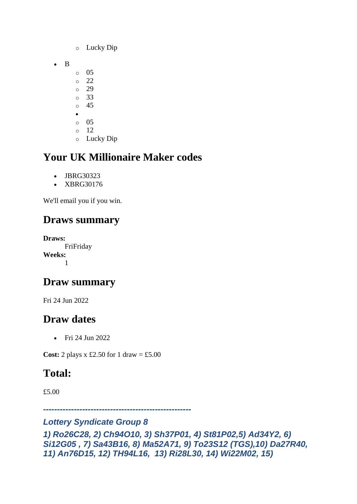- o Lucky Dip
- B
	- o 05
	- o 22
	- o 29
	- o 33 o 45
	- •
	- o 05
	- $\circ$  12
	- o Lucky Dip

# **Your UK Millionaire Maker codes**

- JBRG30323
- XBRG30176

We'll email you if you win.

# **Draws summary**

**Draws:** FriFriday **Weeks:** 1

# **Draw summary**

Fri 24 Jun 2022

# **Draw dates**

• Fri 24 Jun 2022

**Cost:** 2 plays  $x \text{ £}2.50$  for 1 draw = £5.00

# **Total:**

£5.00

*-----------------------------------------------------*

#### *Lottery Syndicate Group 8*

```
1) Ro26C28, 2) Ch94O10, 3) Sh37P01, 4) St81P02,5) Ad34Y2, 6) 
Si12G05 , 7) Sa43B16, 8) Ma52A71, 9) To23S12 (TGS),10) Da27R40, 
11) An76D15, 12) TH94L16, 13) Ri28L30, 14) Wi22M02, 15)
```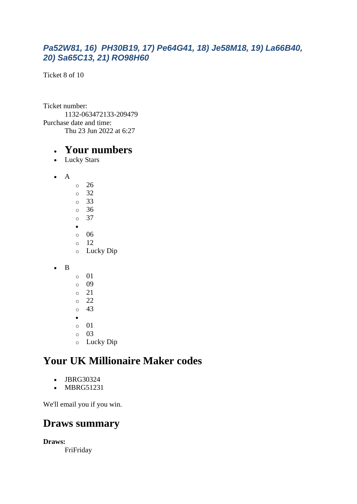#### *Pa52W81, 16) PH30B19, 17) Pe64G41, 18) Je58M18, 19) La66B40, 20) Sa65C13, 21) RO98H60*

Ticket 8 of 10

Ticket number: 1132-063472133-209479 Purchase date and time: Thu 23 Jun 2022 at 6:27

#### • **Your numbers**

- Lucky Stars
- A
- o 26 o 32 o 33 o 36 o 37 • o 06 o 12 o Lucky Dip
- B
	- o 01 o 09 o 21 o 22 o 43 • o 01 o 03
	- o Lucky Dip

# **Your UK Millionaire Maker codes**

- JBRG30324
- MBRG51231

We'll email you if you win.

### **Draws summary**

**Draws:**

FriFriday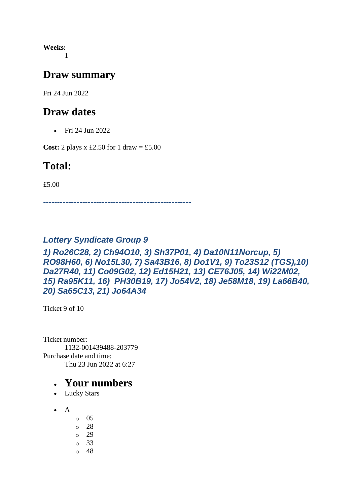**Weeks:** 1

#### **Draw summary**

Fri 24 Jun 2022

#### **Draw dates**

• Fri 24 Jun 2022

**Cost:** 2 plays x £2.50 for 1 draw = £5.00

### **Total:**

£5.00

*-----------------------------------------------------*

#### *Lottery Syndicate Group 9*

#### *1) Ro26C28, 2) Ch94O10, 3) Sh37P01, 4) Da10N11Norcup, 5) RO98H60, 6) No15L30, 7) Sa43B16, 8) Do1V1, 9) To23S12 (TGS),10) Da27R40, 11) Co09G02, 12) Ed15H21, 13) CE76J05, 14) Wi22M02, 15) Ra95K11, 16) PH30B19, 17) Jo54V2, 18) Je58M18, 19) La66B40, 20) Sa65C13, 21) Jo64A34*

Ticket 9 of 10

Ticket number: 1132-001439488-203779 Purchase date and time: Thu 23 Jun 2022 at 6:27

- Lucky Stars
- $\bullet$  A
	- o 05
	- o 28
	- o 29
	- o 33
	- o 48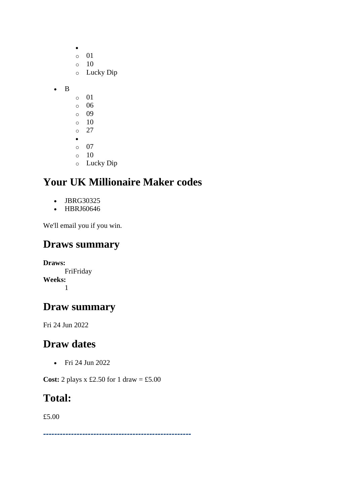|   | O         | 01        |
|---|-----------|-----------|
|   | $\circ$   | 10        |
|   | $\circ$   | Lucky Dip |
|   |           |           |
| B |           |           |
|   | $\circ$   | 01        |
|   | $\circ$   | 06        |
|   | $\circ$   | 09        |
|   | $\circ$   | 10        |
|   | $\circ$   | 27        |
|   | $\bullet$ |           |
|   | $\circ$   | 07        |
|   | Ō         | 10        |

 $\bullet$ 

o Lucky Dip

# **Your UK Millionaire Maker codes**

- JBRG30325
- HBRJ60646

We'll email you if you win.

### **Draws summary**

**Draws:** FriFriday **Weeks:** 1

### **Draw summary**

Fri 24 Jun 2022

#### **Draw dates**

• Fri 24 Jun 2022

**Cost:** 2 plays x £2.50 for 1 draw = £5.00

#### **Total:**

£5.00

*-----------------------------------------------------*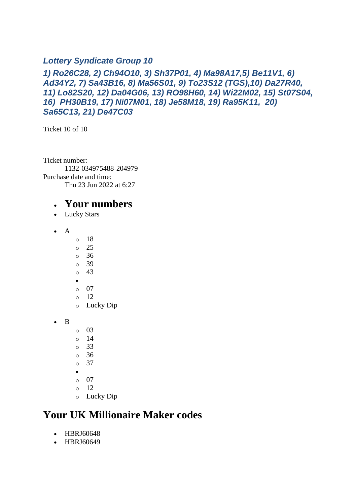#### *Lottery Syndicate Group 10*

#### *1) Ro26C28, 2) Ch94O10, 3) Sh37P01, 4) Ma98A17,5) Be11V1, 6) Ad34Y2, 7) Sa43B16, 8) Ma56S01, 9) To23S12 (TGS),10) Da27R40, 11) Lo82S20, 12) Da04G06, 13) RO98H60, 14) Wi22M02, 15) St07S04, 16) PH30B19, 17) Ni07M01, 18) Je58M18, 19) Ra95K11, 20) Sa65C13, 21) De47C03*

Ticket 10 of 10

Ticket number: 1132-034975488-204979 Purchase date and time: Thu 23 Jun 2022 at 6:27

#### • **Your numbers**

- Lucky Stars
- A
- o 18
- o 25
- o 36
- o 39
- o 43 •
- o 07
- $\circ$  12
- o Lucky Dip
- B
- o 03
- o 14
- o 33
- o 36
- o 37
- •
- o 07 o 12
- o Lucky Dip

### **Your UK Millionaire Maker codes**

- HBRJ60648
- HBRJ60649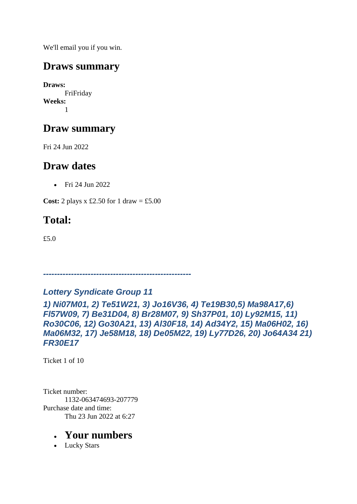We'll email you if you win.

## **Draws summary**

**Draws:** FriFriday **Weeks:** 1

# **Draw summary**

Fri 24 Jun 2022

## **Draw dates**

• Fri 24 Jun 2022

**Cost:** 2 plays x £2.50 for 1 draw = £5.00

# **Total:**

£5.0

# *Lottery Syndicate Group 11*

*-----------------------------------------------------*

*1) Ni07M01, 2) Te51W21, 3) Jo16V36, 4) Te19B30,5) Ma98A17,6) Fl57W09, 7) Be31D04, 8) Br28M07, 9) Sh37P01, 10) Ly92M15, 11) Ro30C06, 12) Go30A21, 13) Al30F18, 14) Ad34Y2, 15) Ma06H02, 16) Ma06M32, 17) Je58M18, 18) De05M22, 19) Ly77D26, 20) Jo64A34 21) FR30E17*

Ticket 1 of 10

Ticket number: 1132-063474693-207779 Purchase date and time: Thu 23 Jun 2022 at 6:27

### • **Your numbers**

• Lucky Stars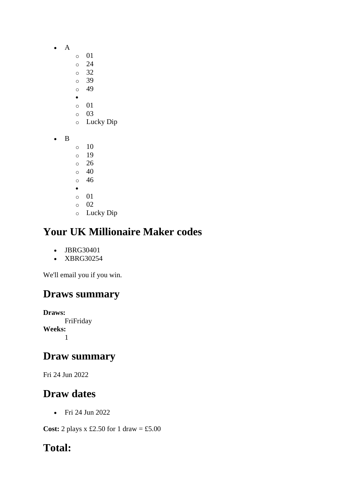- A
	- o 01
	- o 24
	- o 32
	- o 39 o 49
	- •
	- o 01
	- o 03
	- o Lucky Dip
- B
- $\circ$  10 o 19 o 26 o 40 o 46
- •
- o 01
- o 02
- o Lucky Dip

# **Your UK Millionaire Maker codes**

- JBRG30401
- XBRG30254

We'll email you if you win.

# **Draws summary**

**Draws:** FriFriday **Weeks:** 1

# **Draw summary**

Fri 24 Jun 2022

# **Draw dates**

• Fri 24 Jun 2022

**Cost:** 2 plays x £2.50 for 1 draw = £5.00

# **Total:**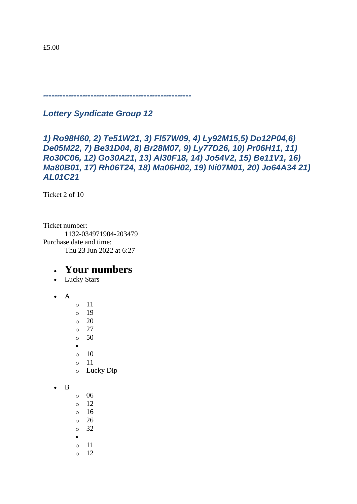*-----------------------------------------------------*

*Lottery Syndicate Group 12*

#### *1) Ro98H60, 2) Te51W21, 3) Fl57W09, 4) Ly92M15,5) Do12P04,6) De05M22, 7) Be31D04, 8) Br28M07, 9) Ly77D26, 10) Pr06H11, 11) Ro30C06, 12) Go30A21, 13) Al30F18, 14) Jo54V2, 15) Be11V1, 16) Ma80B01, 17) Rh06T24, 18) Ma06H02, 19) Ni07M01, 20) Jo64A34 21) AL01C21*

Ticket 2 of 10

Ticket number: 1132-034971904-203479 Purchase date and time: Thu 23 Jun 2022 at 6:27

- Lucky Stars
- $\bullet$  A
- o 11
- o 19
- $\circ$  20
- o 27
- o 50
- •
- $\circ$  10
- o 11
- o Lucky Dip
- B
- o 06
- o 12 o 16
- o 26
- o 32
- •
- o 11
- $\circ$  12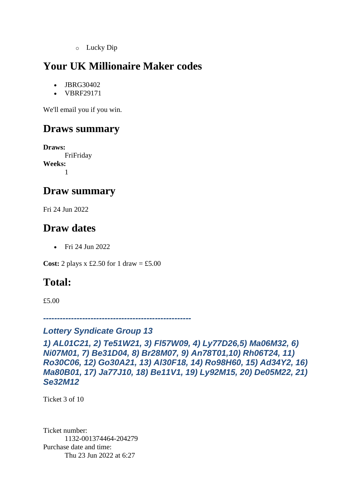o Lucky Dip

# **Your UK Millionaire Maker codes**

- JBRG30402
- VBRF29171

We'll email you if you win.

### **Draws summary**

**Draws:** FriFriday **Weeks:** 1

#### **Draw summary**

Fri 24 Jun 2022

### **Draw dates**

• Fri 24 Jun 2022

**Cost:** 2 plays x £2.50 for 1 draw = £5.00

### **Total:**

£5.00

*-----------------------------------------------------*

#### *Lottery Syndicate Group 13*

*1) AL01C21, 2) Te51W21, 3) Fl57W09, 4) Ly77D26,5) Ma06M32, 6) Ni07M01, 7) Be31D04, 8) Br28M07, 9) An78T01,10) Rh06T24, 11) Ro30C06, 12) Go30A21, 13) Al30F18, 14) Ro98H60, 15) Ad34Y2, 16) Ma80B01, 17) Ja77J10, 18) Be11V1, 19) Ly92M15, 20) De05M22, 21) Se32M12*

Ticket 3 of 10

Ticket number: 1132-001374464-204279 Purchase date and time: Thu 23 Jun 2022 at 6:27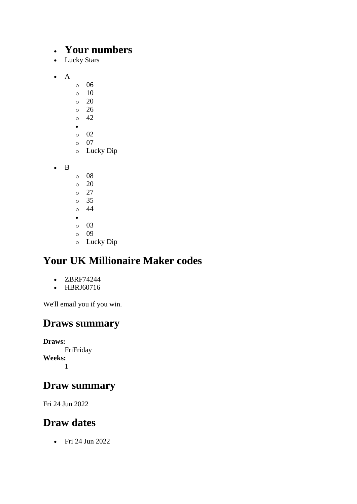#### • **Your numbers**

- Lucky Stars
- A
- o 06
- $\circ$  10
- o 20
- o 26
- $\circ$  42 •
- $\circ$  02
- o 07
- o Lucky Dip

• B

- o 08
- $\circ$  20
- o 27
- o 35 o 44
- •
- o 03
- o 09
- o Lucky Dip

# **Your UK Millionaire Maker codes**

- ZBRF74244
- HBRJ60716

We'll email you if you win.

# **Draws summary**

**Draws:** FriFriday **Weeks:** 1

# **Draw summary**

Fri 24 Jun 2022

# **Draw dates**

• Fri 24 Jun 2022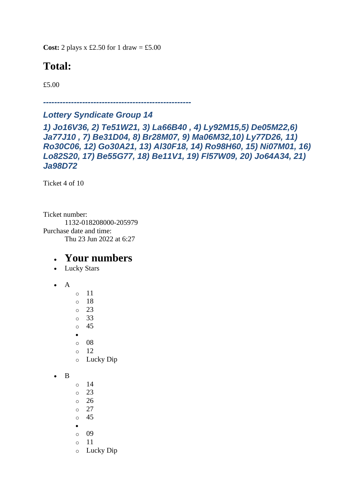**Cost:** 2 plays x £2.50 for 1 draw = £5.00

# **Total:**

£5.00

*-----------------------------------------------------*

#### *Lottery Syndicate Group 14*

*1) Jo16V36, 2) Te51W21, 3) La66B40 , 4) Ly92M15,5) De05M22,6) Ja77J10 , 7) Be31D04, 8) Br28M07, 9) Ma06M32,10) Ly77D26, 11) Ro30C06, 12) Go30A21, 13) Al30F18, 14) Ro98H60, 15) Ni07M01, 16) Lo82S20, 17) Be55G77, 18) Be11V1, 19) Fl57W09, 20) Jo64A34, 21) Ja98D72*

Ticket 4 of 10

Ticket number: 1132-018208000-205979 Purchase date and time: Thu 23 Jun 2022 at 6:27

- Lucky Stars
- A
- o 11 o 18 o 23 o 33 o 45 • o 08  $\circ$  12 o Lucky Dip • B  $\circ$  14 o 23 o 26 o 27 o 45 • o 09 o 11
	- o Lucky Dip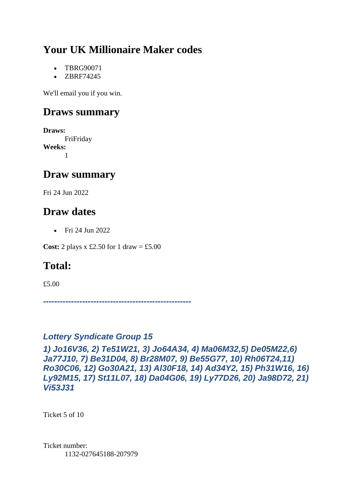# **Your UK Millionaire Maker codes**

- TBRG90071
- ZBRF74245

We'll email you if you win.

### **Draws summary**

**Draws:** FriFriday **Weeks:** 1

## **Draw summary**

Fri 24 Jun 2022

### **Draw dates**

• Fri 24 Jun 2022

**Cost:** 2 plays x £2.50 for 1 draw = £5.00

# **Total:**

£5.00

*-----------------------------------------------------*

#### *Lottery Syndicate Group 15*

*1) Jo16V36, 2) Te51W21, 3) Jo64A34, 4) Ma06M32,5) De05M22,6) Ja77J10, 7) Be31D04, 8) Br28M07, 9) Be55G77, 10) Rh06T24,11) Ro30C06, 12) Go30A21, 13) Al30F18, 14) Ad34Y2, 15) Ph31W16, 16) Ly92M15, 17) St11L07, 18) Da04G06, 19) Ly77D26, 20) Ja98D72, 21) Vi53J31*

Ticket 5 of 10

Ticket number: 1132-027645188-207979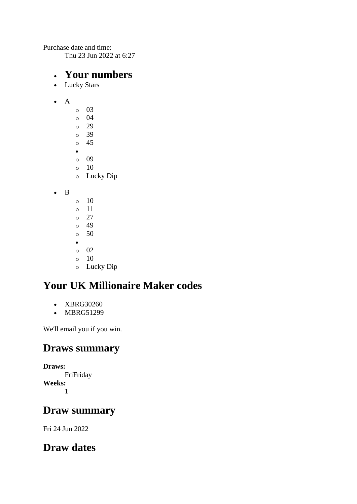Purchase date and time:

Thu 23 Jun 2022 at 6:27

#### • **Your numbers**

- Lucky Stars
- A
- o 03 o 04 o 29 o 39 o 45 • o 09
- $\circ$  10
- o Lucky Dip
- B
- $\circ$  10
- o 11
- o 27
- o 49 o 50
- •
- o 02
- $\circ$  10
- o Lucky Dip

# **Your UK Millionaire Maker codes**

- XBRG30260
- MBRG51299

We'll email you if you win.

### **Draws summary**

**Draws:** FriFriday **Weeks:** 1

## **Draw summary**

Fri 24 Jun 2022

# **Draw dates**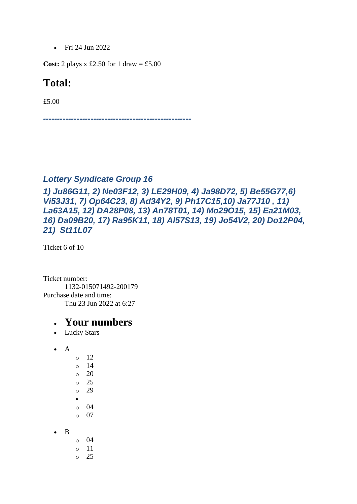• Fri 24 Jun 2022

**Cost:** 2 plays x £2.50 for 1 draw = £5.00

#### **Total:**

£5.00

*-----------------------------------------------------*

#### *Lottery Syndicate Group 16*

*1) Ju86G11, 2) Ne03F12, 3) LE29H09, 4) Ja98D72, 5) Be55G77,6) Vi53J31, 7) Op64C23, 8) Ad34Y2, 9) Ph17C15,10) Ja77J10 , 11) La63A15, 12) DA28P08, 13) An78T01, 14) Mo29O15, 15) Ea21M03, 16) Da09B20, 17) Ra95K11, 18) Al57S13, 19) Jo54V2, 20) Do12P04, 21) St11L07*

Ticket 6 of 10

Ticket number: 1132-015071492-200179 Purchase date and time: Thu 23 Jun 2022 at 6:27

- Lucky Stars
- $\bullet$  A
- o 12 o 14  $\circ$  20 o 25 o 29 • o 04 o 07
- B
- o 04
- o 11 o 25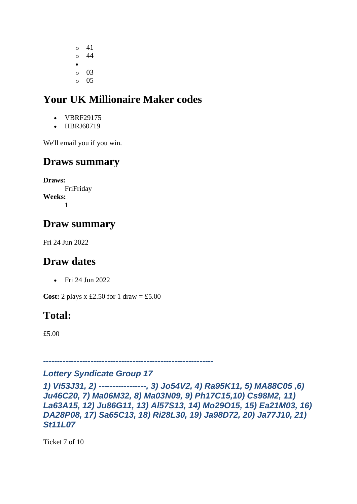o 41 o 44 •  $\circ$  03  $\circ$  05

# **Your UK Millionaire Maker codes**

- VBRF29175
- HBRJ60719

We'll email you if you win.

### **Draws summary**

**Draws:** FriFriday **Weeks:** 1

## **Draw summary**

Fri 24 Jun 2022

### **Draw dates**

• Fri 24 Jun 2022

**Cost:** 2 plays  $x \text{ £}2.50$  for 1 draw = £5.00

# **Total:**

£5.00

*-------------------------------------------------------------*

#### *Lottery Syndicate Group 17*

```
1) Vi53J31, 2) -----------------, 3) Jo54V2, 4) Ra95K11, 5) MA88C05 ,6) 
Ju46C20, 7) Ma06M32, 8) Ma03N09, 9) Ph17C15,10) Cs98M2, 11) 
La63A15, 12) Ju86G11, 13) Al57S13, 14) Mo29O15, 15) Ea21M03, 16) 
DA28P08, 17) Sa65C13, 18) Ri28L30, 19) Ja98D72, 20) Ja77J10, 21) 
St11L07
```
Ticket 7 of 10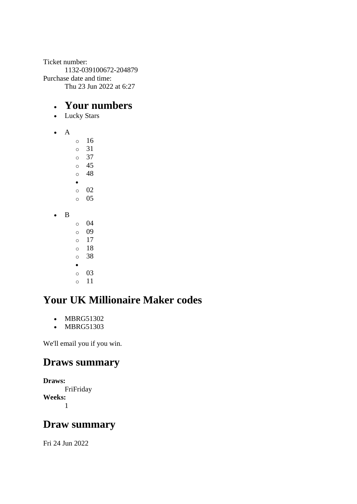Ticket number: 1132-039100672-204879 Purchase date and time: Thu 23 Jun 2022 at 6:27

#### • **Your numbers**

- Lucky Stars
- A

o 16 o 31 o 37 o 45 o 48 • o 02 o 05 • B o 04 o 09  $\circ$  17 o 18 o 38

- •
- o 03
- o 11

# **Your UK Millionaire Maker codes**

- MBRG51302
- MBRG51303

We'll email you if you win.

### **Draws summary**

**Draws:** FriFriday **Weeks:** 1

### **Draw summary**

Fri 24 Jun 2022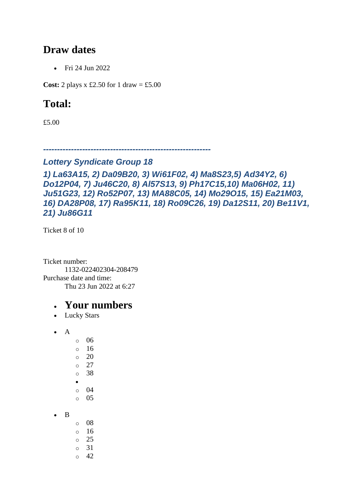### **Draw dates**

• Fri 24 Jun 2022

**Cost:** 2 plays x £2.50 for 1 draw = £5.00

# **Total:**

£5.00

*------------------------------------------------------------*

#### *Lottery Syndicate Group 18*

```
1) La63A15, 2) Da09B20, 3) Wi61F02, 4) Ma8S23,5) Ad34Y2, 6) 
Do12P04, 7) Ju46C20, 8) Al57S13, 9) Ph17C15,10) Ma06H02, 11) 
Ju51G23, 12) Ro52P07, 13) MA88C05, 14) Mo29O15, 15) Ea21M03, 
16) DA28P08, 17) Ra95K11, 18) Ro09C26, 19) Da12S11, 20) Be11V1, 
21) Ju86G11
```
Ticket 8 of 10

Ticket number: 1132-022402304-208479 Purchase date and time: Thu 23 Jun 2022 at 6:27

### • **Your numbers**

• Lucky Stars

• A

• B

o 06 o 16 o 20 o 27 o 38 • o 04  $\circ$  05

o 08  $\circ$  16 o 25 o 31

 $\circ$  42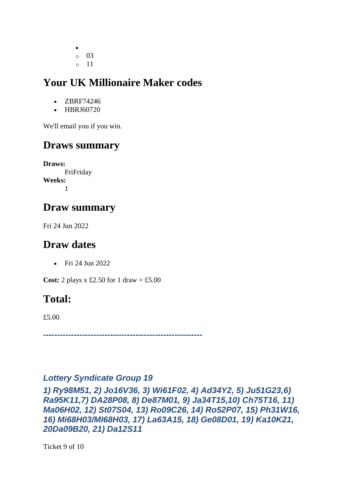• o 03 o 11

# **Your UK Millionaire Maker codes**

- ZBRF74246
- HBRJ60720

We'll email you if you win.

# **Draws summary**

**Draws:** FriFriday **Weeks:** 1

# **Draw summary**

Fri 24 Jun 2022

# **Draw dates**

• Fri 24 Jun 2022

**Cost:** 2 plays x £2.50 for 1 draw = £5.00

# **Total:**

£5.00

*---------------------------------------------------------*

#### *Lottery Syndicate Group 19*

*1) Ry98M51, 2) Jo16V36, 3) Wi61F02, 4) Ad34Y2, 5) Ju51G23,6) Ra95K11,7) DA28P08, 8) De87M01, 9) Ja34T15,10) Ch75T16, 11) Ma06H02, 12) St07S04, 13) Ro09C26, 14) Ro52P07, 15) Ph31W16, 16) Mi68H03/MI68H03, 17) La63A15, 18) Ge08D01, 19) Ka10K21, 20Da09B20, 21) Da12S11*

Ticket 9 of 10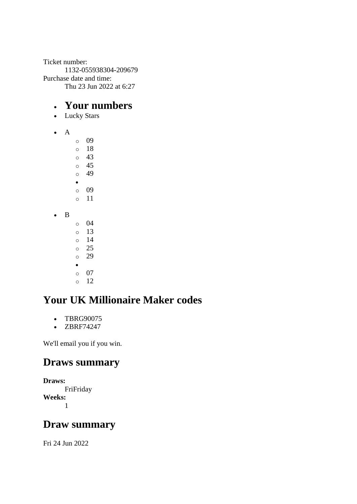Ticket number: 1132-055938304-209679 Purchase date and time: Thu 23 Jun 2022 at 6:27

#### • **Your numbers**

- Lucky Stars
- A

o 09 o 18  $\circ$  43 o 45 o 49 • o 09 o 11 • B o 04 o 13  $\circ$  14 o 25 o 29 • o 07  $\circ$  12

# **Your UK Millionaire Maker codes**

- TBRG90075
- ZBRF74247

We'll email you if you win.

### **Draws summary**

**Draws:** FriFriday **Weeks:** 1

### **Draw summary**

Fri 24 Jun 2022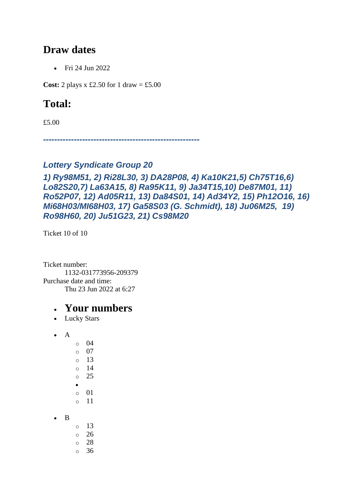### **Draw dates**

• Fri 24 Jun 2022

**Cost:** 2 plays x £2.50 for 1 draw = £5.00

# **Total:**

£5.00

*--------------------------------------------------------*

#### *Lottery Syndicate Group 20*

#### *1) Ry98M51, 2) Ri28L30, 3) DA28P08, 4) Ka10K21,5) Ch75T16,6) Lo82S20,7) La63A15, 8) Ra95K11, 9) Ja34T15,10) De87M01, 11) Ro52P07, 12) Ad05R11, 13) Da84S01, 14) Ad34Y2, 15) Ph12O16, 16) Mi68H03/MI68H03, 17) Ga58S03 (G. Schmidt), 18) Ju06M25, 19) Ro98H60, 20) Ju51G23, 21) Cs98M20*

Ticket 10 of 10

Ticket number: 1132-031773956-209379 Purchase date and time: Thu 23 Jun 2022 at 6:27

#### • **Your numbers**

• Lucky Stars

• A

• B

- o 04 o 07 o 13 o 14 o 25 • o 01 o 11 o 13 o 26
- o 28
- o 36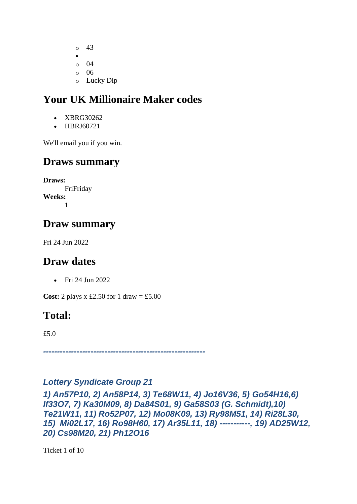- o 43 • o 04  $\circ$  06
- o Lucky Dip

# **Your UK Millionaire Maker codes**

- XBRG30262
- HBRJ60721

We'll email you if you win.

### **Draws summary**

**Draws:** FriFriday **Weeks:** 1

## **Draw summary**

Fri 24 Jun 2022

### **Draw dates**

• Fri 24 Jun 2022

**Cost:** 2 plays x £2.50 for 1 draw = £5.00

### **Total:**

£5.0

*----------------------------------------------------------*

#### *Lottery Syndicate Group 21*

*1) An57P10, 2) An58P14, 3) Te68W11, 4) Jo16V36, 5) Go54H16,6) If33O7, 7) Ka30M09, 8) Da84S01, 9) Ga58S03 (G. Schmidt),10) Te21W11, 11) Ro52P07, 12) Mo08K09, 13) Ry98M51, 14) Ri28L30, 15) Mi02L17, 16) Ro98H60, 17) Ar35L11, 18) -----------, 19) AD25W12, 20) Cs98M20, 21) Ph12O16*

Ticket 1 of 10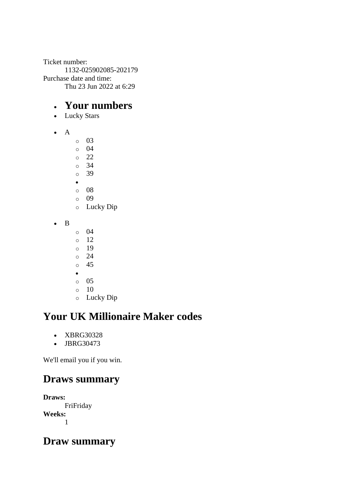Ticket number: 1132-025902085-202179 Purchase date and time: Thu 23 Jun 2022 at 6:29

### • **Your numbers**

- Lucky Stars
- A
- o 03
- o 04
- o 22 o 34
- o 39
- •
- o 08
- o 09
- o Lucky Dip
- B
- o 04
- $\circ$  12
- o 19 o 24
- o 45
- •
- o 05
- o 10
- o Lucky Dip

# **Your UK Millionaire Maker codes**

- XBRG30328
- JBRG30473

We'll email you if you win.

# **Draws summary**

**Draws:** FriFriday **Weeks:** 1

### **Draw summary**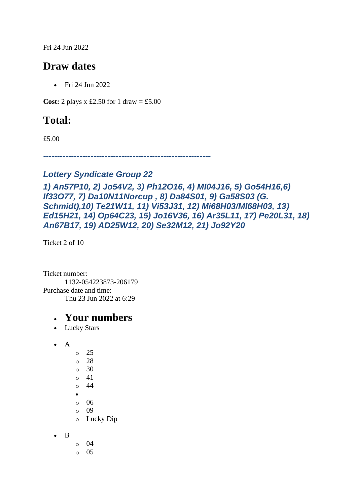Fri 24 Jun 2022

## **Draw dates**

• Fri 24 Jun 2022

**Cost:** 2 plays x £2.50 for 1 draw = £5.00

# **Total:**

£5.00

*------------------------------------------------------------*

#### *Lottery Syndicate Group 22*

```
1) An57P10, 2) Jo54V2, 3) Ph12O16, 4) MI04J16, 5) Go54H16,6) 
If33O77, 7) Da10N11Norcup , 8) Da84S01, 9) Ga58S03 (G. 
Schmidt),10) Te21W11, 11) Vi53J31, 12) Mi68H03/MI68H03, 13) 
Ed15H21, 14) Op64C23, 15) Jo16V36, 16) Ar35L11, 17) Pe20L31, 18) 
An67B17, 19) AD25W12, 20) Se32M12, 21) Jo92Y20
```
Ticket 2 of 10

Ticket number: 1132-054223873-206179 Purchase date and time: Thu 23 Jun 2022 at 6:29

- Lucky Stars
- $\bullet$  A o 25 o 28 o 30 o 41 o 44 • o 06 o 09
	- o Lucky Dip
- B
- o 04
- o 05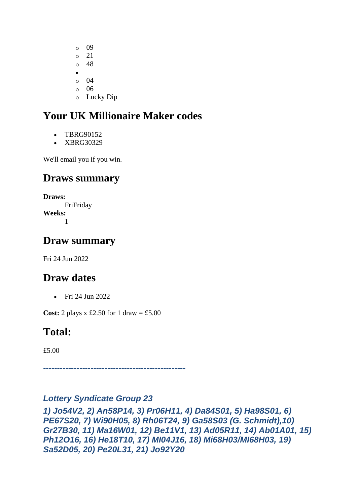o 09 o 21 o 48 • o 04 o 06 o Lucky Dip

# **Your UK Millionaire Maker codes**

- TBRG90152
- XBRG30329

We'll email you if you win.

## **Draws summary**

**Draws:** FriFriday **Weeks:** 1

### **Draw summary**

Fri 24 Jun 2022

# **Draw dates**

• Fri 24 Jun 2022

**Cost:** 2 plays x £2.50 for 1 draw = £5.00

# **Total:**

£5.00

*---------------------------------------------------*

#### *Lottery Syndicate Group 23*

*1) Jo54V2, 2) An58P14, 3) Pr06H11, 4) Da84S01, 5) Ha98S01, 6) PE67S20, 7) Wi90H05, 8) Rh06T24, 9) Ga58S03 (G. Schmidt),10) Gr27B30, 11) Ma16W01, 12) Be11V1, 13) Ad05R11, 14) Ab01A01, 15) Ph12O16, 16) He18T10, 17) MI04J16, 18) Mi68H03/MI68H03, 19) Sa52D05, 20) Pe20L31, 21) Jo92Y20*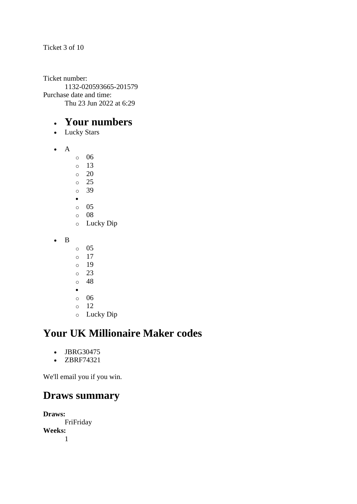Ticket 3 of 10

Ticket number: 1132-020593665-201579 Purchase date and time: Thu 23 Jun 2022 at 6:29

### • **Your numbers**

- Lucky Stars
- A
- o 06
- o 13
- $\circ$  20
- o 25 o 39
- •
- $\circ$  05
- o 08
- o Lucky Dip
- B
- $\circ$  05
- o 17
- o 19
- o 23 o 48
- •
- o 06
- o 12
- o Lucky Dip

# **Your UK Millionaire Maker codes**

- JBRG30475
- ZBRF74321

We'll email you if you win.

### **Draws summary**

**Draws:** FriFriday **Weeks:** 1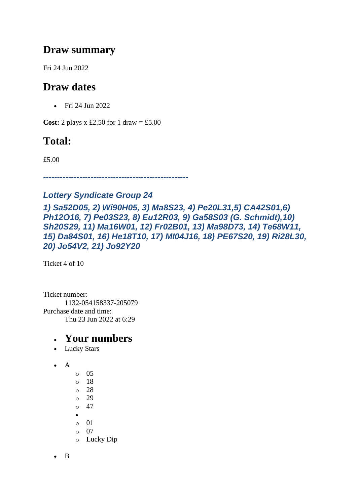### **Draw summary**

Fri 24 Jun 2022

# **Draw dates**

• Fri 24 Jun 2022

**Cost:** 2 plays x £2.50 for 1 draw = £5.00

# **Total:**

£5.00

*----------------------------------------------------*

### *Lottery Syndicate Group 24*

*1) Sa52D05, 2) Wi90H05, 3) Ma8S23, 4) Pe20L31,5) CA42S01,6) Ph12O16, 7) Pe03S23, 8) Eu12R03, 9) Ga58S03 (G. Schmidt),10) Sh20S29, 11) Ma16W01, 12) Fr02B01, 13) Ma98D73, 14) Te68W11, 15) Da84S01, 16) He18T10, 17) MI04J16, 18) PE67S20, 19) Ri28L30, 20) Jo54V2, 21) Jo92Y20*

Ticket 4 of 10

Ticket number: 1132-054158337-205079 Purchase date and time: Thu 23 Jun 2022 at 6:29

- Lucky Stars
- A
- o 05 o 18 o 28  $\degree$  29  $\circ$  47 • o 01 o 07 o Lucky Dip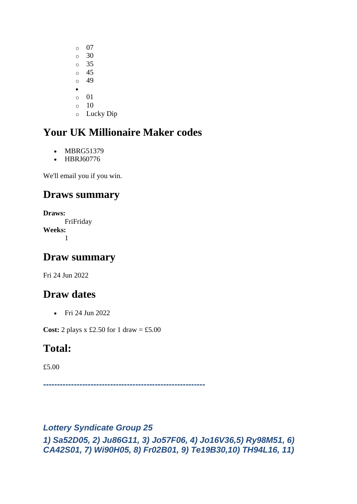o 07  $\circ$  30 o 35 o 45 o 49 • o 01  $\circ$  10 o Lucky Dip

# **Your UK Millionaire Maker codes**

- MBRG51379
- HBRJ60776

We'll email you if you win.

# **Draws summary**

**Draws:** FriFriday **Weeks:** 1

## **Draw summary**

Fri 24 Jun 2022

# **Draw dates**

• Fri 24 Jun 2022

**Cost:** 2 plays  $x \text{ £}2.50$  for 1 draw = £5.00

# **Total:**

£5.00

*----------------------------------------------------------*

#### *Lottery Syndicate Group 25*

*1) Sa52D05, 2) Ju86G11, 3) Jo57F06, 4) Jo16V36,5) Ry98M51, 6) CA42S01, 7) Wi90H05, 8) Fr02B01, 9) Te19B30,10) TH94L16, 11)*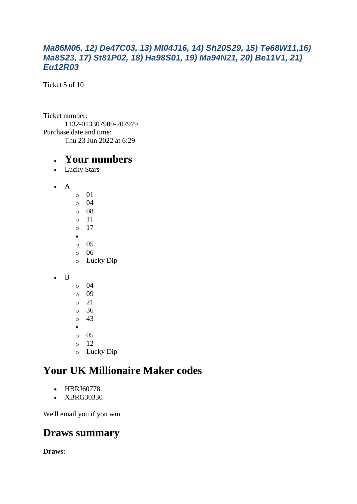#### *Ma86M06, 12) De47C03, 13) MI04J16, 14) Sh20S29, 15) Te68W11,16) Ma8S23, 17) St81P02, 18) Ha98S01, 19) Ma94N21, 20) Be11V1, 21) Eu12R03*

Ticket 5 of 10

Ticket number: 1132-013307909-207979 Purchase date and time: Thu 23 Jun 2022 at 6:29

#### • **Your numbers**

- Lucky Stars
- A
- o 01 o 04 o 08 o 11 o 17 • o 05 o 06 o Lucky Dip
- B
- o 04 o 09 o 21
- o 36
- o 43
- •
- o 05
- o 12
- o Lucky Dip

# **Your UK Millionaire Maker codes**

- HBRJ60778
- XBRG30330

We'll email you if you win.

### **Draws summary**

**Draws:**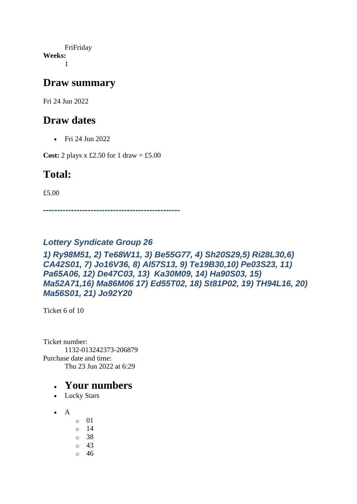FriFriday **Weeks:** 1

#### **Draw summary**

Fri 24 Jun 2022

## **Draw dates**

• Fri 24 Jun 2022

**Cost:** 2 plays x £2.50 for 1 draw = £5.00

## **Total:**

£5.00

*-------------------------------------------------*

#### *Lottery Syndicate Group 26*

#### *1) Ry98M51, 2) Te68W11, 3) Be55G77, 4) Sh20S29,5) Ri28L30,6) CA42S01, 7) Jo16V36, 8) Al57S13, 9) Te19B30,10) Pe03S23, 11) Pa65A06, 12) De47C03, 13) Ka30M09, 14) Ha90S03, 15) Ma52A71,16) Ma86M06 17) Ed55T02, 18) St81P02, 19) TH94L16, 20) Ma56S01, 21) Jo92Y20*

Ticket 6 of 10

Ticket number: 1132-013242373-206879 Purchase date and time: Thu 23 Jun 2022 at 6:29

- Lucky Stars
- $\bullet$  A
- o 01
- $\circ$  14
- o 38
- o 43
- o 46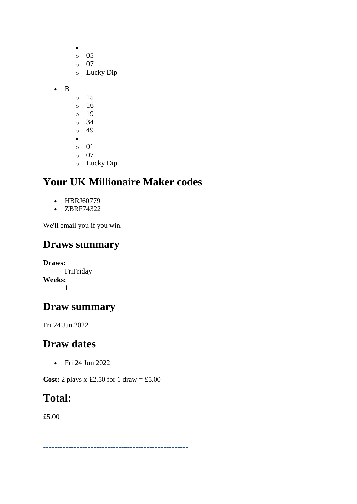|   | O         | 05                                                  |
|---|-----------|-----------------------------------------------------|
|   | $\circ$   | 07                                                  |
|   | $\circ$   | Lucky Dip                                           |
|   |           |                                                     |
| B |           |                                                     |
|   | O         | 15                                                  |
|   | $\circ$   | 16                                                  |
|   | $\circ$   | 19                                                  |
|   | $\circ$   | 34                                                  |
|   | $\circ$   | 49                                                  |
|   | $\bullet$ |                                                     |
|   | $\circ$   | 01                                                  |
|   | Ó         | 07                                                  |
|   |           | $\mathbf{T}$ and $\mathbf{T}$ and $\mathbf{T}$<br>г |

o Lucky Dip

# **Your UK Millionaire Maker codes**

- HBRJ60779
- ZBRF74322

We'll email you if you win.

### **Draws summary**

**Draws:** FriFriday **Weeks:** 1

# **Draw summary**

Fri 24 Jun 2022

### **Draw dates**

• Fri 24 Jun 2022

**Cost:** 2 plays x £2.50 for 1 draw = £5.00

### **Total:**

£5.00

*----------------------------------------------------*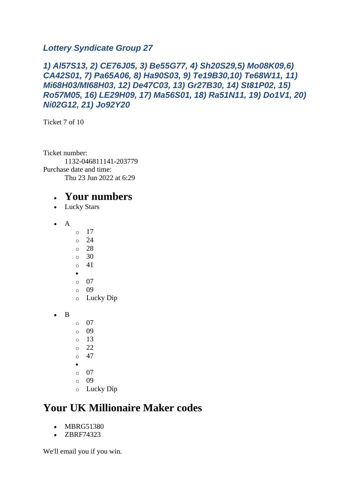#### *Lottery Syndicate Group 27*

#### *1) Al57S13, 2) CE76J05, 3) Be55G77, 4) Sh20S29,5) Mo08K09,6) CA42S01, 7) Pa65A06, 8) Ha90S03, 9) Te19B30,10) Te68W11, 11) Mi68H03/MI68H03, 12) De47C03, 13) Gr27B30, 14) St81P02, 15) Ro57M05, 16) LE29H09, 17) Ma56S01, 18) Ra51N11, 19) Do1V1, 20) Ni02G12, 21) Jo92Y20*

Ticket 7 of 10

Ticket number: 1132-046811141-203779 Purchase date and time: Thu 23 Jun 2022 at 6:29

### • **Your numbers**

- Lucky Stars
- A
- $\circ$  17
- o 24
- o 28
- o 30 o 41
- •
- o 07
- o 09
- o Lucky Dip

• B

- o 07
- o 09
- $\circ$  13
- $\circ$  22
- $\circ$  47
- •
- $\circ$  07 o 09
- o Lucky Dip

# **Your UK Millionaire Maker codes**

- MBRG51380
- ZBRF74323

We'll email you if you win.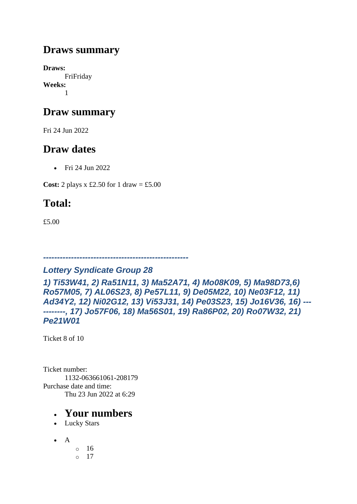## **Draws summary**

**Draws:** FriFriday **Weeks:** 1

# **Draw summary**

Fri 24 Jun 2022

# **Draw dates**

• Fri 24 Jun 2022

**Cost:** 2 plays x £2.50 for 1 draw = £5.00

# **Total:**

£5.00

#### *----------------------------------------------------*

#### *Lottery Syndicate Group 28*

*1) Ti53W41, 2) Ra51N11, 3) Ma52A71, 4) Mo08K09, 5) Ma98D73,6) Ro57M05, 7) AL06S23, 8) Pe57L11, 9) De05M22, 10) Ne03F12, 11) Ad34Y2, 12) Ni02G12, 13) Vi53J31, 14) Pe03S23, 15) Jo16V36, 16) --- --------, 17) Jo57F06, 18) Ma56S01, 19) Ra86P02, 20) Ro07W32, 21) Pe21W01*

Ticket 8 of 10

Ticket number: 1132-063661061-208179 Purchase date and time: Thu 23 Jun 2022 at 6:29

- Lucky Stars
- $\bullet$  A o 16
	- $\circ$  17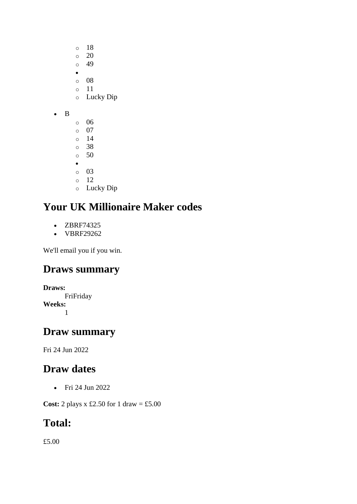- o 18  $\circ$  20
- o 49
- •
- o 08
- o 11 o Lucky Dip
- B
- o 06
- o 07
- o 14 o 38
- o 50
- •
- o 03
- o 12
- o Lucky Dip

# **Your UK Millionaire Maker codes**

- ZBRF74325
- VBRF29262

We'll email you if you win.

# **Draws summary**

**Draws:**

FriFriday **Weeks:** 1

# **Draw summary**

Fri 24 Jun 2022

# **Draw dates**

• Fri 24 Jun 2022

**Cost:** 2 plays x £2.50 for 1 draw = £5.00

# **Total:**

£5.00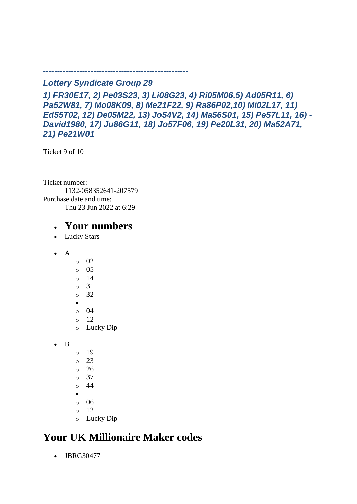*Lottery Syndicate Group 29*

*----------------------------------------------------*

*1) FR30E17, 2) Pe03S23, 3) Li08G23, 4) Ri05M06,5) Ad05R11, 6) Pa52W81, 7) Mo08K09, 8) Me21F22, 9) Ra86P02,10) Mi02L17, 11) Ed55T02, 12) De05M22, 13) Jo54V2, 14) Ma56S01, 15) Pe57L11, 16) - David1980, 17) Ju86G11, 18) Jo57F06, 19) Pe20L31, 20) Ma52A71, 21) Pe21W01*

Ticket 9 of 10

Ticket number: 1132-058352641-207579 Purchase date and time: Thu 23 Jun 2022 at 6:29

- Lucky Stars
- $\bullet$  A
- o 02
- o 05
- o 14
- o 31
- o 32
- o 04
- o 12
- o Lucky Dip
- B
- o 19
- o 23
- o 26
- o 37
- o 44
- •
- o 06 o 12
- o Lucky Dip
- **Your UK Millionaire Maker codes** 
	- JBRG30477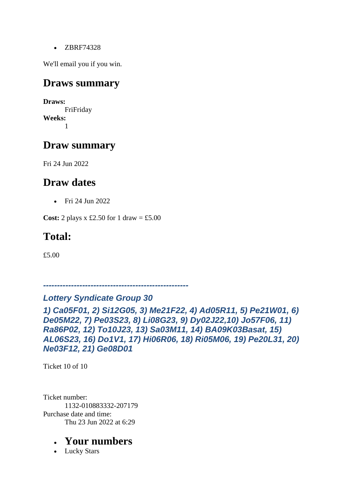• ZBRF74328

We'll email you if you win.

#### **Draws summary**

**Draws:** FriFriday **Weeks:** 1

### **Draw summary**

Fri 24 Jun 2022

### **Draw dates**

• Fri 24 Jun 2022

**Cost:** 2 plays x £2.50 for 1 draw = £5.00

## **Total:**

£5.00

*----------------------------------------------------*

#### *Lottery Syndicate Group 30*

*1) Ca05F01, 2) Si12G05, 3) Me21F22, 4) Ad05R11, 5) Pe21W01, 6) De05M22, 7) Pe03S23, 8) Li08G23, 9) Dy02J22,10) Jo57F06, 11) Ra86P02, 12) To10J23, 13) Sa03M11, 14) BA09K03Basat, 15) AL06S23, 16) Do1V1, 17) Hi06R06, 18) Ri05M06, 19) Pe20L31, 20) Ne03F12, 21) Ge08D01*

Ticket 10 of 10

Ticket number: 1132-010883332-207179 Purchase date and time: Thu 23 Jun 2022 at 6:29

#### • **Your numbers**

• Lucky Stars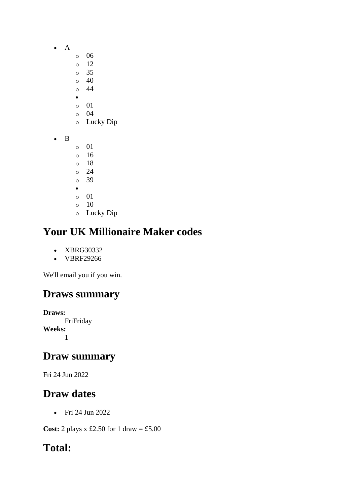- A
- o 06
- o 12
- o 35
- o 40 o 44
- •
- o 01
- o 04
- o Lucky Dip
- B
- o 01 o 16
- o 18
- o 24
- o 39
- •
- o 01  $\circ$  10
- o Lucky Dip

# **Your UK Millionaire Maker codes**

- XBRG30332
- VBRF29266

We'll email you if you win.

# **Draws summary**

**Draws:** FriFriday **Weeks:** 1

# **Draw summary**

Fri 24 Jun 2022

# **Draw dates**

• Fri 24 Jun 2022

**Cost:** 2 plays x £2.50 for 1 draw = £5.00

# **Total:**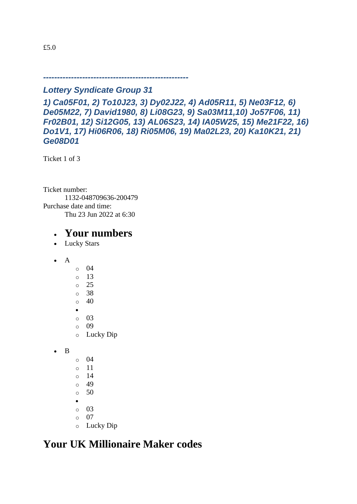*----------------------------------------------------*

#### *Lottery Syndicate Group 31*

*1) Ca05F01, 2) To10J23, 3) Dy02J22, 4) Ad05R11, 5) Ne03F12, 6) De05M22, 7) David1980, 8) Li08G23, 9) Sa03M11,10) Jo57F06, 11) Fr02B01, 12) Si12G05, 13) AL06S23, 14) IA05W25, 15) Me21F22, 16) Do1V1, 17) Hi06R06, 18) Ri05M06, 19) Ma02L23, 20) Ka10K21, 21) Ge08D01*

Ticket 1 of 3

Ticket number: 1132-048709636-200479 Purchase date and time: Thu 23 Jun 2022 at 6:30

### • **Your numbers**

- Lucky Stars
- $\bullet$  A
- o 04 o 13 o 25 o 38  $\circ$  40 • o 03 o 09
- o Lucky Dip

• B

- o 04 o 11
- o 14
- o 49
- $\circ$  50
- •
- o 03
- o 07
- o Lucky Dip

### **Your UK Millionaire Maker codes**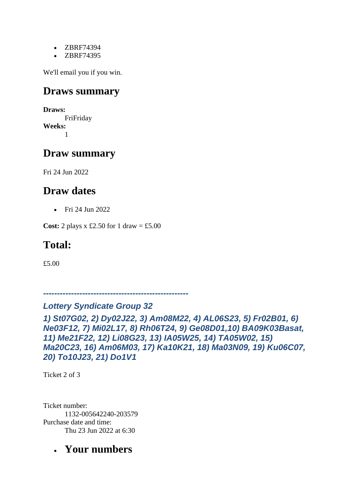- ZBRF74394
- ZBRF74395

We'll email you if you win.

### **Draws summary**

**Draws:** FriFriday **Weeks:** 1

### **Draw summary**

Fri 24 Jun 2022

### **Draw dates**

• Fri 24 Jun 2022

**Cost:** 2 plays x £2.50 for 1 draw = £5.00

## **Total:**

£5.00

*----------------------------------------------------*

#### *Lottery Syndicate Group 32*

*1) St07G02, 2) Dy02J22, 3) Am08M22, 4) AL06S23, 5) Fr02B01, 6) Ne03F12, 7) Mi02L17, 8) Rh06T24, 9) Ge08D01,10) BA09K03Basat, 11) Me21F22, 12) Li08G23, 13) IA05W25, 14) TA05W02, 15) Ma20C23, 16) Am06M03, 17) Ka10K21, 18) Ma03N09, 19) Ku06C07, 20) To10J23, 21) Do1V1*

Ticket 2 of 3

Ticket number: 1132-005642240-203579 Purchase date and time: Thu 23 Jun 2022 at 6:30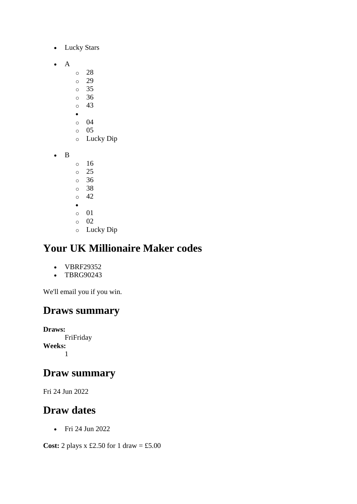- Lucky Stars
- A
- o 28
- o 29
- o 35 o 36
- $\circ$  43
- $\bullet$
- o 04
- o 05
- o Lucky Dip
- B
- o 16 o 25
- o 36
- o 38
- $\circ$  42
- •
- o 01
- o 02
- o Lucky Dip

# **Your UK Millionaire Maker codes**

- VBRF29352
- TBRG90243

We'll email you if you win.

# **Draws summary**

**Draws:** FriFriday **Weeks:** 1

### **Draw summary**

Fri 24 Jun 2022

### **Draw dates**

• Fri 24 Jun 2022

**Cost:** 2 plays x £2.50 for 1 draw = £5.00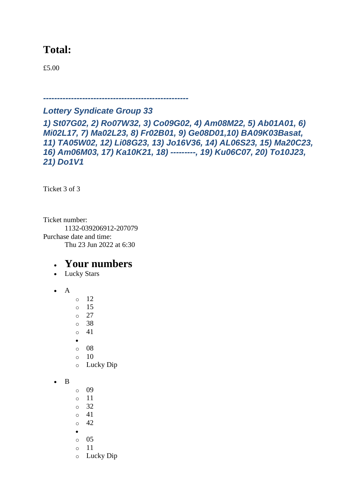### **Total:**

£5.00

*----------------------------------------------------*

#### *Lottery Syndicate Group 33*

*1) St07G02, 2) Ro07W32, 3) Co09G02, 4) Am08M22, 5) Ab01A01, 6) Mi02L17, 7) Ma02L23, 8) Fr02B01, 9) Ge08D01,10) BA09K03Basat, 11) TA05W02, 12) Li08G23, 13) Jo16V36, 14) AL06S23, 15) Ma20C23, 16) Am06M03, 17) Ka10K21, 18) ---------, 19) Ku06C07, 20) To10J23, 21) Do1V1*

Ticket 3 of 3

Ticket number: 1132-039206912-207079 Purchase date and time: Thu 23 Jun 2022 at 6:30

- Lucky Stars
- A
- o 12 o 15 o 27 o 38 o 41 • o 08 o 10
- o Lucky Dip

```
• B
```
- o 09 o 11 o 32  $\circ$  41 o 42
- •
- o 05
- o 11
- o Lucky Dip